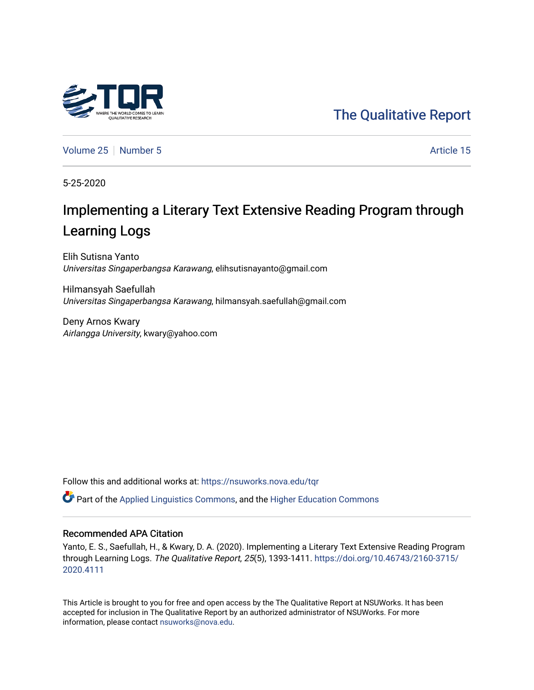# [The Qualitative Report](https://nsuworks.nova.edu/tqr)

[Volume 25](https://nsuworks.nova.edu/tqr/vol25) [Number 5](https://nsuworks.nova.edu/tqr/vol25/iss5) Article 15

5-25-2020

# Implementing a Literary Text Extensive Reading Program through Learning Logs

Elih Sutisna Yanto Universitas Singaperbangsa Karawang, elihsutisnayanto@gmail.com

Hilmansyah Saefullah Universitas Singaperbangsa Karawang, hilmansyah.saefullah@gmail.com

Deny Arnos Kwary Airlangga University, kwary@yahoo.com

Follow this and additional works at: [https://nsuworks.nova.edu/tqr](https://nsuworks.nova.edu/tqr?utm_source=nsuworks.nova.edu%2Ftqr%2Fvol25%2Fiss5%2F15&utm_medium=PDF&utm_campaign=PDFCoverPages) 

Part of the [Applied Linguistics Commons,](http://network.bepress.com/hgg/discipline/373?utm_source=nsuworks.nova.edu%2Ftqr%2Fvol25%2Fiss5%2F15&utm_medium=PDF&utm_campaign=PDFCoverPages) and the [Higher Education Commons](http://network.bepress.com/hgg/discipline/1245?utm_source=nsuworks.nova.edu%2Ftqr%2Fvol25%2Fiss5%2F15&utm_medium=PDF&utm_campaign=PDFCoverPages) 

### Recommended APA Citation

Yanto, E. S., Saefullah, H., & Kwary, D. A. (2020). Implementing a Literary Text Extensive Reading Program through Learning Logs. The Qualitative Report, 25(5), 1393-1411. [https://doi.org/10.46743/2160-3715/](https://doi.org/10.46743/2160-3715/2020.4111) [2020.4111](https://doi.org/10.46743/2160-3715/2020.4111) 

This Article is brought to you for free and open access by the The Qualitative Report at NSUWorks. It has been accepted for inclusion in The Qualitative Report by an authorized administrator of NSUWorks. For more information, please contact [nsuworks@nova.edu.](mailto:nsuworks@nova.edu)

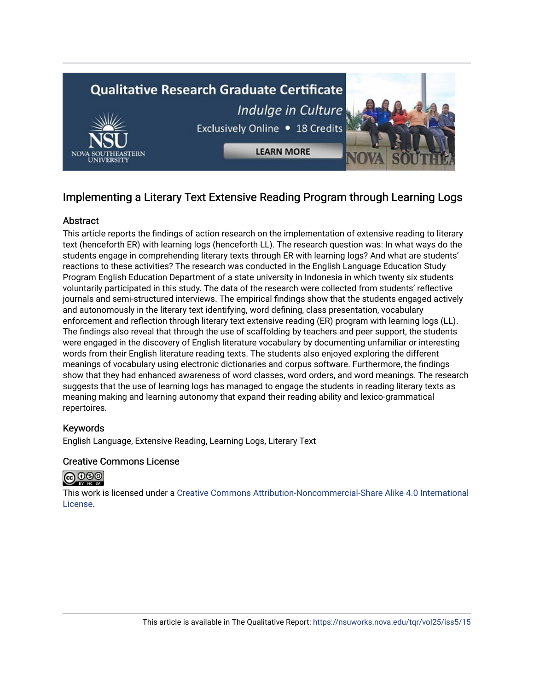

# Implementing a Literary Text Extensive Reading Program through Learning Logs

# Abstract

This article reports the findings of action research on the implementation of extensive reading to literary text (henceforth ER) with learning logs (henceforth LL). The research question was: In what ways do the students engage in comprehending literary texts through ER with learning logs? And what are students' reactions to these activities? The research was conducted in the English Language Education Study Program English Education Department of a state university in Indonesia in which twenty six students voluntarily participated in this study. The data of the research were collected from students' reflective journals and semi-structured interviews. The empirical findings show that the students engaged actively and autonomously in the literary text identifying, word defining, class presentation, vocabulary enforcement and reflection through literary text extensive reading (ER) program with learning logs (LL). The findings also reveal that through the use of scaffolding by teachers and peer support, the students were engaged in the discovery of English literature vocabulary by documenting unfamiliar or interesting words from their English literature reading texts. The students also enjoyed exploring the different meanings of vocabulary using electronic dictionaries and corpus software. Furthermore, the findings show that they had enhanced awareness of word classes, word orders, and word meanings. The research suggests that the use of learning logs has managed to engage the students in reading literary texts as meaning making and learning autonomy that expand their reading ability and lexico-grammatical repertoires.

# Keywords

English Language, Extensive Reading, Learning Logs, Literary Text

# Creative Commons License



This work is licensed under a [Creative Commons Attribution-Noncommercial-Share Alike 4.0 International](https://creativecommons.org/licenses/by-nc-sa/4.0/)  [License](https://creativecommons.org/licenses/by-nc-sa/4.0/).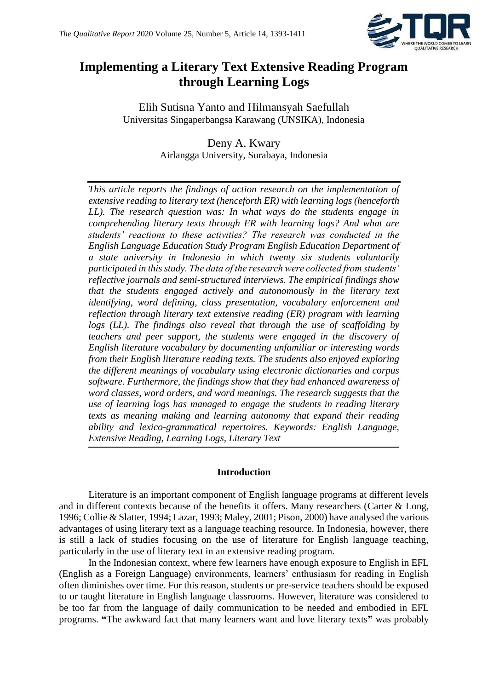

# **Implementing a Literary Text Extensive Reading Program through Learning Logs**

Elih Sutisna Yanto and Hilmansyah Saefullah Universitas Singaperbangsa Karawang (UNSIKA), Indonesia

> Deny A. Kwary Airlangga University, Surabaya, Indonesia

*This article reports the findings of action research on the implementation of extensive reading to literary text (henceforth ER) with learning logs (henceforth LL). The research question was: In what ways do the students engage in comprehending literary texts through ER with learning logs? And what are students' reactions to these activities? The research was conducted in the English Language Education Study Program English Education Department of a state university in Indonesia in which twenty six students voluntarily participated in this study. The data of the research were collected from students' reflective journals and semi-structured interviews. The empirical findings show that the students engaged actively and autonomously in the literary text identifying, word defining, class presentation, vocabulary enforcement and reflection through literary text extensive reading (ER) program with learning logs (LL). The findings also reveal that through the use of scaffolding by teachers and peer support, the students were engaged in the discovery of English literature vocabulary by documenting unfamiliar or interesting words from their English literature reading texts. The students also enjoyed exploring the different meanings of vocabulary using electronic dictionaries and corpus software. Furthermore, the findings show that they had enhanced awareness of word classes, word orders, and word meanings. The research suggests that the use of learning logs has managed to engage the students in reading literary texts as meaning making and learning autonomy that expand their reading ability and lexico-grammatical repertoires. Keywords: English Language, Extensive Reading, Learning Logs, Literary Text*

# **Introduction**

Literature is an important component of English language programs at different levels and in different contexts because of the benefits it offers. Many researchers (Carter & Long, 1996; Collie & Slatter, 1994; Lazar, 1993; Maley, 2001; Pison, 2000) have analysed the various advantages of using literary text as a language teaching resource. In Indonesia, however, there is still a lack of studies focusing on the use of literature for English language teaching, particularly in the use of literary text in an extensive reading program.

In the Indonesian context, where few learners have enough exposure to English in EFL (English as a Foreign Language) environments, learners' enthusiasm for reading in English often diminishes over time. For this reason, students or pre-service teachers should be exposed to or taught literature in English language classrooms. However, literature was considered to be too far from the language of daily communication to be needed and embodied in EFL programs. **"**The awkward fact that many learners want and love literary texts**"** was probably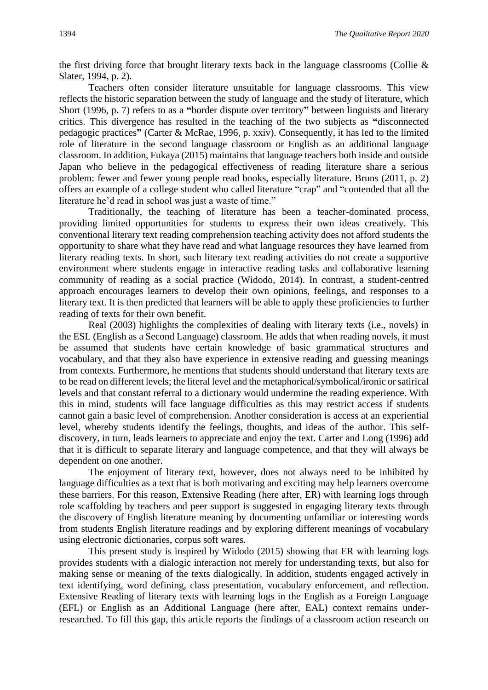the first driving force that brought literary texts back in the language classrooms (Collie  $\&$ Slater, 1994, p. 2).

Teachers often consider literature unsuitable for language classrooms. This view reflects the historic separation between the study of language and the study of literature, which Short (1996, p. 7) refers to as a **"**border dispute over territory**"** between linguists and literary critics. This divergence has resulted in the teaching of the two subjects as **"**disconnected pedagogic practices**"** (Carter & McRae, 1996, p. xxiv). Consequently, it has led to the limited role of literature in the second language classroom or English as an additional language classroom. In addition, Fukaya (2015) maintains that language teachers both inside and outside Japan who believe in the pedagogical effectiveness of reading literature share a serious problem: fewer and fewer young people read books, especially literature. Bruns (2011, p. 2) offers an example of a college student who called literature "crap" and "contended that all the literature he'd read in school was just a waste of time."

Traditionally, the teaching of literature has been a teacher-dominated process, providing limited opportunities for students to express their own ideas creatively. This conventional literary text reading comprehension teaching activity does not afford students the opportunity to share what they have read and what language resources they have learned from literary reading texts. In short, such literary text reading activities do not create a supportive environment where students engage in interactive reading tasks and collaborative learning community of reading as a social practice (Widodo, 2014). In contrast, a student-centred approach encourages learners to develop their own opinions, feelings, and responses to a literary text. It is then predicted that learners will be able to apply these proficiencies to further reading of texts for their own benefit.

Real (2003) highlights the complexities of dealing with literary texts (i.e., novels) in the ESL (English as a Second Language) classroom. He adds that when reading novels, it must be assumed that students have certain knowledge of basic grammatical structures and vocabulary, and that they also have experience in extensive reading and guessing meanings from contexts. Furthermore, he mentions that students should understand that literary texts are to be read on different levels; the literal level and the metaphorical/symbolical/ironic or satirical levels and that constant referral to a dictionary would undermine the reading experience. With this in mind, students will face language difficulties as this may restrict access if students cannot gain a basic level of comprehension. Another consideration is access at an experiential level, whereby students identify the feelings, thoughts, and ideas of the author. This selfdiscovery, in turn, leads learners to appreciate and enjoy the text. Carter and Long (1996) add that it is difficult to separate literary and language competence, and that they will always be dependent on one another.

The enjoyment of literary text, however, does not always need to be inhibited by language difficulties as a text that is both motivating and exciting may help learners overcome these barriers. For this reason, Extensive Reading (here after, ER) with learning logs through role scaffolding by teachers and peer support is suggested in engaging literary texts through the discovery of English literature meaning by documenting unfamiliar or interesting words from students English literature readings and by exploring different meanings of vocabulary using electronic dictionaries, corpus soft wares.

This present study is inspired by Widodo (2015) showing that ER with learning logs provides students with a dialogic interaction not merely for understanding texts, but also for making sense or meaning of the texts dialogically. In addition, students engaged actively in text identifying, word defining, class presentation, vocabulary enforcement, and reflection. Extensive Reading of literary texts with learning logs in the English as a Foreign Language (EFL) or English as an Additional Language (here after, EAL) context remains underresearched. To fill this gap, this article reports the findings of a classroom action research on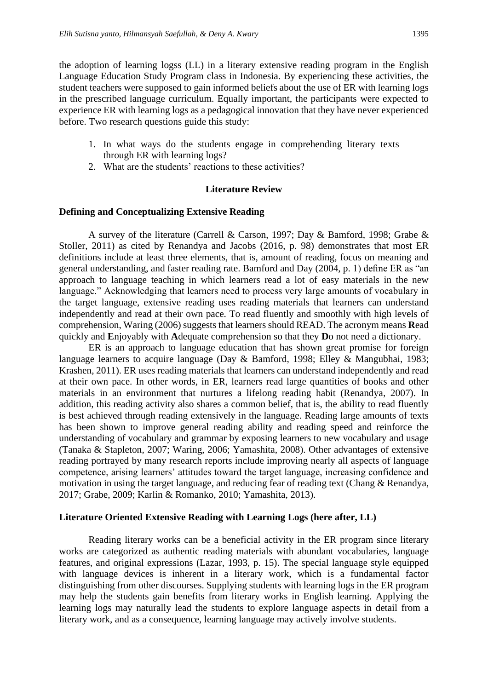the adoption of learning logss (LL) in a literary extensive reading program in the English Language Education Study Program class in Indonesia. By experiencing these activities, the student teachers were supposed to gain informed beliefs about the use of ER with learning logs in the prescribed language curriculum. Equally important, the participants were expected to experience ER with learning logs as a pedagogical innovation that they have never experienced before. Two research questions guide this study:

- 1. In what ways do the students engage in comprehending literary texts through ER with learning logs?
- 2. What are the students' reactions to these activities?

### **Literature Review**

### **Defining and Conceptualizing Extensive Reading**

A survey of the literature (Carrell & Carson, 1997; Day & Bamford, 1998; Grabe & Stoller, 2011) as cited by Renandya and Jacobs (2016, p. 98) demonstrates that most ER definitions include at least three elements, that is, amount of reading, focus on meaning and general understanding, and faster reading rate. Bamford and Day (2004, p. 1) define ER as "an approach to language teaching in which learners read a lot of easy materials in the new language." Acknowledging that learners need to process very large amounts of vocabulary in the target language, extensive reading uses reading materials that learners can understand independently and read at their own pace. To read fluently and smoothly with high levels of comprehension, Waring (2006) suggests that learners should READ. The acronym means **R**ead quickly and **E**njoyably with **A**dequate comprehension so that they **D**o not need a dictionary.

ER is an approach to language education that has shown great promise for foreign language learners to acquire language (Day & Bamford, 1998; Elley & Mangubhai, 1983; Krashen, 2011). ER uses reading materials that learners can understand independently and read at their own pace. In other words, in ER, learners read large quantities of books and other materials in an environment that nurtures a lifelong reading habit (Renandya, 2007). In addition, this reading activity also shares a common belief, that is, the ability to read fluently is best achieved through reading extensively in the language. Reading large amounts of texts has been shown to improve general reading ability and reading speed and reinforce the understanding of vocabulary and grammar by exposing learners to new vocabulary and usage (Tanaka & Stapleton, 2007; Waring, 2006; Yamashita, 2008). Other advantages of extensive reading portrayed by many research reports include improving nearly all aspects of language competence, arising learners' attitudes toward the target language, increasing confidence and motivation in using the target language, and reducing fear of reading text (Chang & Renandya, 2017; Grabe, 2009; Karlin & Romanko, 2010; Yamashita, 2013).

### **Literature Oriented Extensive Reading with Learning Logs (here after, LL)**

Reading literary works can be a beneficial activity in the ER program since literary works are categorized as authentic reading materials with abundant vocabularies, language features, and original expressions (Lazar, 1993, p. 15). The special language style equipped with language devices is inherent in a literary work, which is a fundamental factor distinguishing from other discourses. Supplying students with learning logs in the ER program may help the students gain benefits from literary works in English learning. Applying the learning logs may naturally lead the students to explore language aspects in detail from a literary work, and as a consequence, learning language may actively involve students.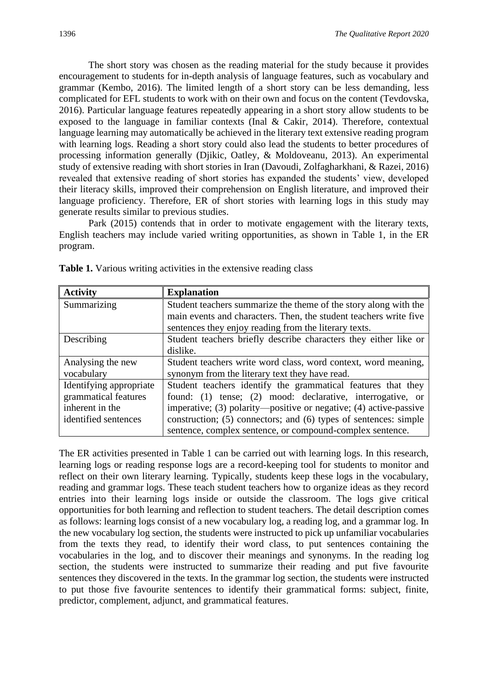The short story was chosen as the reading material for the study because it provides encouragement to students for in-depth analysis of language features, such as vocabulary and grammar (Kembo, 2016). The limited length of a short story can be less demanding, less complicated for EFL students to work with on their own and focus on the content (Tevdovska, 2016). Particular language features repeatedly appearing in a short story allow students to be exposed to the language in familiar contexts (Inal & Cakir, 2014). Therefore, contextual language learning may automatically be achieved in the literary text extensive reading program with learning logs. Reading a short story could also lead the students to better procedures of processing information generally (Djikic, Oatley, & Moldoveanu, 2013). An experimental study of extensive reading with short stories in Iran (Davoudi, Zolfagharkhani, & Razei, 2016) revealed that extensive reading of short stories has expanded the students' view, developed their literacy skills, improved their comprehension on English literature, and improved their language proficiency. Therefore, ER of short stories with learning logs in this study may generate results similar to previous studies.

Park (2015) contends that in order to motivate engagement with the literary texts, English teachers may include varied writing opportunities, as shown in Table 1, in the ER program.

| <b>Activity</b>         | <b>Explanation</b>                                                |
|-------------------------|-------------------------------------------------------------------|
| Summarizing             | Student teachers summarize the theme of the story along with the  |
|                         | main events and characters. Then, the student teachers write five |
|                         | sentences they enjoy reading from the literary texts.             |
| Describing              | Student teachers briefly describe characters they either like or  |
|                         | dislike.                                                          |
| Analysing the new       | Student teachers write word class, word context, word meaning,    |
| vocabulary              | synonym from the literary text they have read.                    |
| Identifying appropriate | Student teachers identify the grammatical features that they      |
| grammatical features    | found: (1) tense; (2) mood: declarative, interrogative, or        |
| inherent in the         | imperative; (3) polarity—positive or negative; (4) active-passive |
| identified sentences    | construction; (5) connectors; and (6) types of sentences: simple  |
|                         | sentence, complex sentence, or compound-complex sentence.         |

**Table 1.** Various writing activities in the extensive reading class

The ER activities presented in Table 1 can be carried out with learning logs. In this research, learning logs or reading response logs are a record-keeping tool for students to monitor and reflect on their own literary learning. Typically, students keep these logs in the vocabulary, reading and grammar logs. These teach student teachers how to organize ideas as they record entries into their learning logs inside or outside the classroom. The logs give critical opportunities for both learning and reflection to student teachers. The detail description comes as follows: learning logs consist of a new vocabulary log, a reading log, and a grammar log. In the new vocabulary log section, the students were instructed to pick up unfamiliar vocabularies from the texts they read, to identify their word class, to put sentences containing the vocabularies in the log, and to discover their meanings and synonyms. In the reading log section, the students were instructed to summarize their reading and put five favourite sentences they discovered in the texts. In the grammar log section, the students were instructed to put those five favourite sentences to identify their grammatical forms: subject, finite, predictor, complement, adjunct, and grammatical features.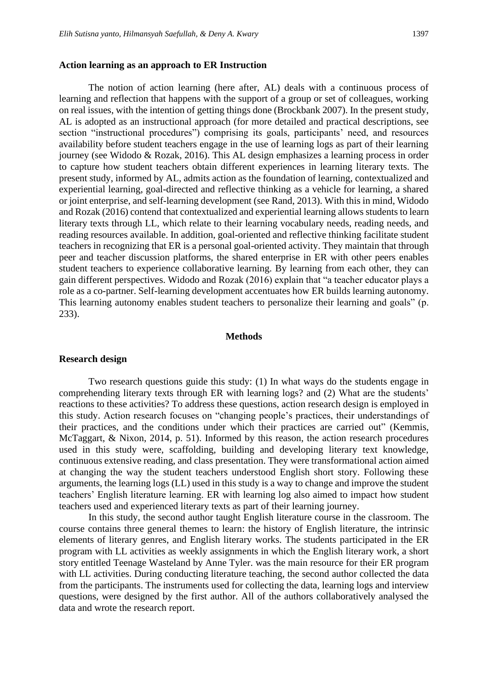### **Action learning as an approach to ER Instruction**

The notion of action learning (here after, AL) deals with a continuous process of learning and reflection that happens with the support of a group or set of colleagues, working on real issues, with the intention of getting things done (Brockbank 2007). In the present study, AL is adopted as an instructional approach (for more detailed and practical descriptions, see section "instructional procedures") comprising its goals, participants' need, and resources availability before student teachers engage in the use of learning logs as part of their learning journey (see Widodo & Rozak, 2016). This AL design emphasizes a learning process in order to capture how student teachers obtain different experiences in learning literary texts. The present study, informed by AL, admits action as the foundation of learning, contextualized and experiential learning, goal-directed and reflective thinking as a vehicle for learning, a shared or joint enterprise, and self-learning development (see Rand, 2013). With this in mind, Widodo and Rozak (2016) contend that contextualized and experiential learning allows students to learn literary texts through LL, which relate to their learning vocabulary needs, reading needs, and reading resources available. In addition, goal-oriented and reflective thinking facilitate student teachers in recognizing that ER is a personal goal-oriented activity. They maintain that through peer and teacher discussion platforms, the shared enterprise in ER with other peers enables student teachers to experience collaborative learning. By learning from each other, they can gain different perspectives. Widodo and Rozak (2016) explain that "a teacher educator plays a role as a co-partner. Self-learning development accentuates how ER builds learning autonomy. This learning autonomy enables student teachers to personalize their learning and goals" (p. 233).

### **Methods**

#### **Research design**

Two research questions guide this study: (1) In what ways do the students engage in comprehending literary texts through ER with learning logs? and (2) What are the students' reactions to these activities? To address these questions, action research design is employed in this study. Action research focuses on "changing people's practices, their understandings of their practices, and the conditions under which their practices are carried out" (Kemmis, McTaggart, & Nixon, 2014, p. 51). Informed by this reason, the action research procedures used in this study were, scaffolding, building and developing literary text knowledge, continuous extensive reading, and class presentation. They were transformational action aimed at changing the way the student teachers understood English short story. Following these arguments, the learning logs (LL) used in this study is a way to change and improve the student teachers' English literature learning. ER with learning log also aimed to impact how student teachers used and experienced literary texts as part of their learning journey.

In this study, the second author taught English literature course in the classroom. The course contains three general themes to learn: the history of English literature*,* the intrinsic elements of literary genres, and English literary works. The students participated in the ER program with LL activities as weekly assignments in which the English literary work, a short story entitled Teenage Wasteland by Anne Tyler. was the main resource for their ER program with LL activities. During conducting literature teaching, the second author collected the data from the participants. The instruments used for collecting the data, learning logs and interview questions, were designed by the first author. All of the authors collaboratively analysed the data and wrote the research report.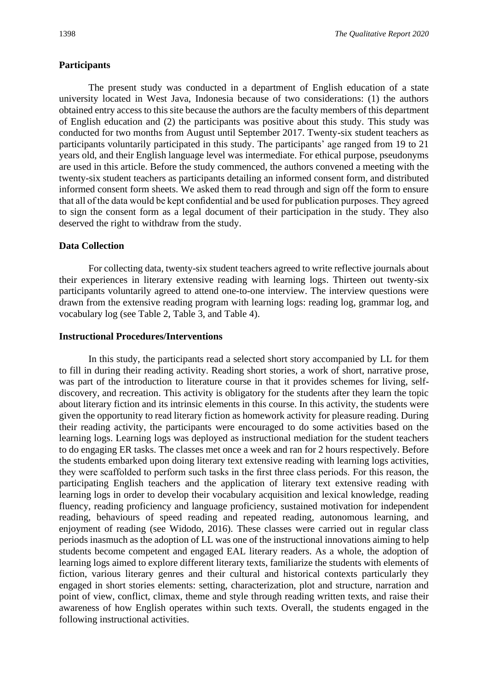## **Participants**

The present study was conducted in a department of English education of a state university located in West Java, Indonesia because of two considerations: (1) the authors obtained entry access to this site because the authors are the faculty members of this department of English education and (2) the participants was positive about this study. This study was conducted for two months from August until September 2017. Twenty-six student teachers as participants voluntarily participated in this study. The participants' age ranged from 19 to 21 years old, and their English language level was intermediate. For ethical purpose, pseudonyms are used in this article. Before the study commenced, the authors convened a meeting with the twenty-six student teachers as participants detailing an informed consent form, and distributed informed consent form sheets. We asked them to read through and sign off the form to ensure that all of the data would be kept confidential and be used for publication purposes. They agreed to sign the consent form as a legal document of their participation in the study. They also deserved the right to withdraw from the study.

# **Data Collection**

For collecting data, twenty-six student teachers agreed to write reflective journals about their experiences in literary extensive reading with learning logs. Thirteen out twenty-six participants voluntarily agreed to attend one-to-one interview. The interview questions were drawn from the extensive reading program with learning logs: reading log, grammar log, and vocabulary log (see Table 2, Table 3, and Table 4).

### **Instructional Procedures/Interventions**

In this study, the participants read a selected short story accompanied by LL for them to fill in during their reading activity. Reading short stories, a work of short, narrative prose, was part of the introduction to literature course in that it provides schemes for living, selfdiscovery, and recreation. This activity is obligatory for the students after they learn the topic about literary fiction and its intrinsic elements in this course. In this activity, the students were given the opportunity to read literary fiction as homework activity for pleasure reading. During their reading activity, the participants were encouraged to do some activities based on the learning logs. Learning logs was deployed as instructional mediation for the student teachers to do engaging ER tasks. The classes met once a week and ran for 2 hours respectively. Before the students embarked upon doing literary text extensive reading with learning logs activities, they were scaffolded to perform such tasks in the first three class periods. For this reason, the participating English teachers and the application of literary text extensive reading with learning logs in order to develop their vocabulary acquisition and lexical knowledge, reading fluency, reading proficiency and language proficiency, sustained motivation for independent reading, behaviours of speed reading and repeated reading, autonomous learning, and enjoyment of reading (see Widodo, 2016). These classes were carried out in regular class periods inasmuch as the adoption of LL was one of the instructional innovations aiming to help students become competent and engaged EAL literary readers. As a whole, the adoption of learning logs aimed to explore different literary texts, familiarize the students with elements of fiction, various literary genres and their cultural and historical contexts particularly they engaged in short stories elements: setting, characterization, plot and structure, narration and point of view, conflict, climax, theme and style through reading written texts, and raise their awareness of how English operates within such texts. Overall, the students engaged in the following instructional activities.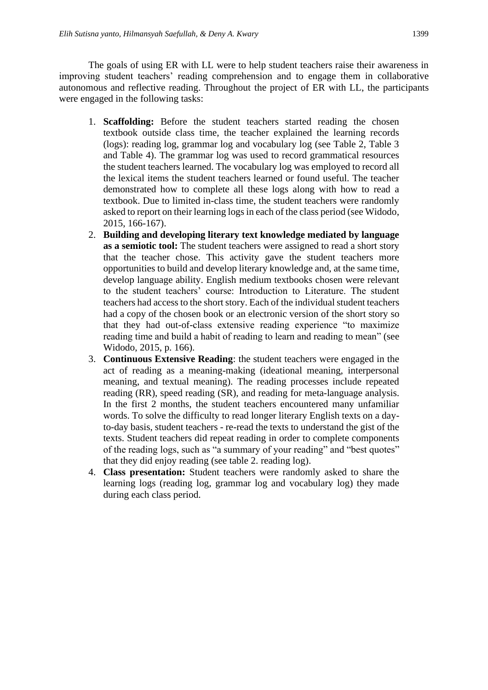The goals of using ER with LL were to help student teachers raise their awareness in improving student teachers' reading comprehension and to engage them in collaborative autonomous and reflective reading. Throughout the project of ER with LL, the participants were engaged in the following tasks:

- 1. **Scaffolding:** Before the student teachers started reading the chosen textbook outside class time, the teacher explained the learning records (logs): reading log, grammar log and vocabulary log (see Table 2, Table 3 and Table 4). The grammar log was used to record grammatical resources the student teachers learned. The vocabulary log was employed to record all the lexical items the student teachers learned or found useful. The teacher demonstrated how to complete all these logs along with how to read a textbook. Due to limited in-class time, the student teachers were randomly asked to report on their learning logs in each of the class period (see Widodo, 2015, 166-167).
- 2. **Building and developing literary text knowledge mediated by language as a semiotic tool:** The student teachers were assigned to read a short story that the teacher chose. This activity gave the student teachers more opportunities to build and develop literary knowledge and, at the same time, develop language ability. English medium textbooks chosen were relevant to the student teachers' course: Introduction to Literature. The student teachers had access to the short story. Each of the individual student teachers had a copy of the chosen book or an electronic version of the short story so that they had out-of-class extensive reading experience "to maximize reading time and build a habit of reading to learn and reading to mean" (see Widodo, 2015, p. 166).
- 3. **Continuous Extensive Reading**: the student teachers were engaged in the act of reading as a meaning-making (ideational meaning, interpersonal meaning, and textual meaning). The reading processes include repeated reading (RR), speed reading (SR), and reading for meta-language analysis. In the first 2 months, the student teachers encountered many unfamiliar words. To solve the difficulty to read longer literary English texts on a dayto-day basis, student teachers - re-read the texts to understand the gist of the texts. Student teachers did repeat reading in order to complete components of the reading logs, such as "a summary of your reading" and "best quotes" that they did enjoy reading (see table 2. reading log).
- 4. **Class presentation:** Student teachers were randomly asked to share the learning logs (reading log, grammar log and vocabulary log) they made during each class period.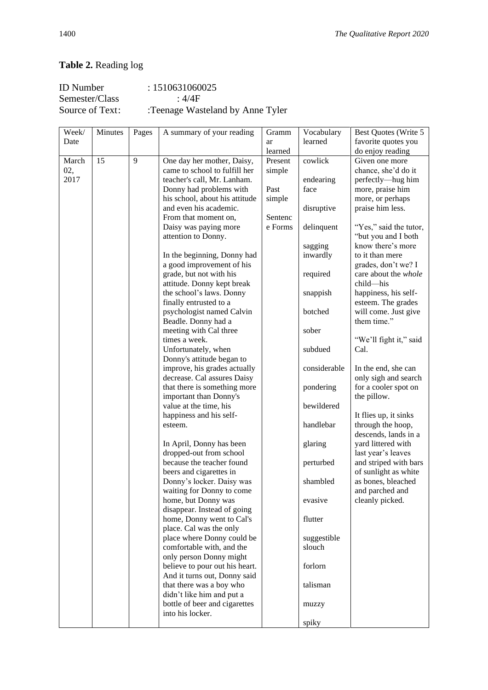# **Table 2.** Reading log

| ID Number       | : 1510631060025                  |
|-----------------|----------------------------------|
| Semester/Class  | $\cdot$ 4/4F                     |
| Source of Text: | :Teenage Wasteland by Anne Tyler |

| Week/ | Minutes | Pages | A summary of your reading      | Gramm   | Vocabulary   | Best Quotes (Write 5                |
|-------|---------|-------|--------------------------------|---------|--------------|-------------------------------------|
| Date  |         |       |                                | ar      | learned      | favorite quotes you                 |
|       |         |       |                                | learned |              | do enjoy reading                    |
| March | 15      | 9     | One day her mother, Daisy,     | Present | cowlick      | Given one more                      |
| 02,   |         |       | came to school to fulfill her  | simple  |              | chance, she'd do it                 |
| 2017  |         |       | teacher's call, Mr. Lanham.    |         | endearing    | perfectly-hug him                   |
|       |         |       | Donny had problems with        | Past    | face         | more, praise him                    |
|       |         |       | his school, about his attitude | simple  |              | more, or perhaps                    |
|       |         |       | and even his academic.         |         | disruptive   | praise him less.                    |
|       |         |       | From that moment on,           | Sentenc |              |                                     |
|       |         |       | Daisy was paying more          | e Forms | delinquent   | "Yes," said the tutor,              |
|       |         |       | attention to Donny.            |         |              | "but you and I both                 |
|       |         |       |                                |         | sagging      | know there's more                   |
|       |         |       | In the beginning, Donny had    |         | inwardly     | to it than mere                     |
|       |         |       | a good improvement of his      |         |              | grades, don't we? I                 |
|       |         |       | grade, but not with his        |         | required     | care about the whole                |
|       |         |       | attitude. Donny kept break     |         |              | child—his                           |
|       |         |       | the school's laws. Donny       |         |              | happiness, his self-                |
|       |         |       | finally entrusted to a         |         | snappish     | esteem. The grades                  |
|       |         |       |                                |         |              |                                     |
|       |         |       | psychologist named Calvin      |         | botched      | will come. Just give<br>them time." |
|       |         |       | Beadle. Donny had a            |         |              |                                     |
|       |         |       | meeting with Cal three         |         | sober        |                                     |
|       |         |       | times a week.                  |         |              | "We'll fight it," said              |
|       |         |       | Unfortunately, when            |         | subdued      | Cal.                                |
|       |         |       | Donny's attitude began to      |         |              |                                     |
|       |         |       | improve, his grades actually   |         | considerable | In the end, she can                 |
|       |         |       | decrease. Cal assures Daisy    |         |              | only sigh and search                |
|       |         |       | that there is something more   |         | pondering    | for a cooler spot on                |
|       |         |       | important than Donny's         |         |              | the pillow.                         |
|       |         |       | value at the time, his         |         | bewildered   |                                     |
|       |         |       | happiness and his self-        |         |              | It flies up, it sinks               |
|       |         |       | esteem.                        |         | handlebar    | through the hoop,                   |
|       |         |       |                                |         |              | descends, lands in a                |
|       |         |       | In April, Donny has been       |         | glaring      | yard littered with                  |
|       |         |       | dropped-out from school        |         |              | last year's leaves                  |
|       |         |       | because the teacher found      |         | perturbed    | and striped with bars               |
|       |         |       | beers and cigarettes in        |         |              | of sunlight as white                |
|       |         |       | Donny's locker. Daisy was      |         | shambled     | as bones, bleached                  |
|       |         |       | waiting for Donny to come      |         |              | and parched and                     |
|       |         |       | home, but Donny was            |         | evasive      | cleanly picked.                     |
|       |         |       | disappear. Instead of going    |         |              |                                     |
|       |         |       | home, Donny went to Cal's      |         | flutter      |                                     |
|       |         |       | place. Cal was the only        |         |              |                                     |
|       |         |       | place where Donny could be     |         | suggestible  |                                     |
|       |         |       | comfortable with, and the      |         | slouch       |                                     |
|       |         |       | only person Donny might        |         |              |                                     |
|       |         |       | believe to pour out his heart. |         | forlorn      |                                     |
|       |         |       | And it turns out, Donny said   |         |              |                                     |
|       |         |       | that there was a boy who       |         | talisman     |                                     |
|       |         |       | didn't like him and put a      |         |              |                                     |
|       |         |       | bottle of beer and cigarettes  |         | muzzy        |                                     |
|       |         |       | into his locker.               |         |              |                                     |
|       |         |       |                                |         | spiky        |                                     |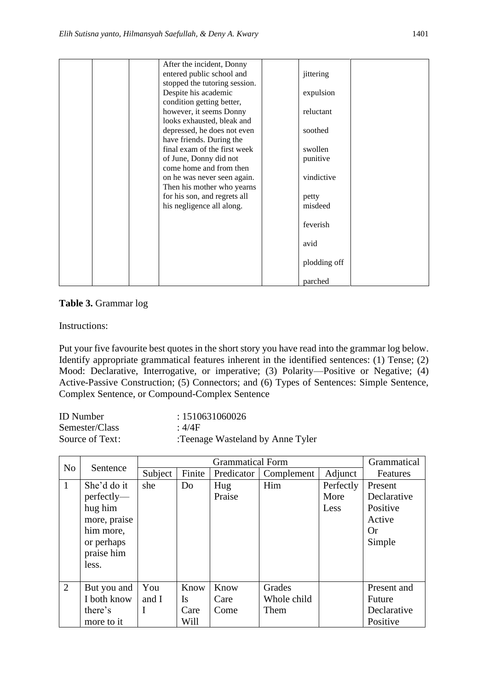|  | After the incident, Donny     |              |  |
|--|-------------------------------|--------------|--|
|  | entered public school and     | jittering    |  |
|  | stopped the tutoring session. |              |  |
|  | Despite his academic          | expulsion    |  |
|  | condition getting better,     |              |  |
|  | however, it seems Donny       | reluctant    |  |
|  | looks exhausted, bleak and    |              |  |
|  | depressed, he does not even   | soothed      |  |
|  | have friends. During the      |              |  |
|  | final exam of the first week  | swollen      |  |
|  | of June, Donny did not        | punitive     |  |
|  | come home and from then       |              |  |
|  | on he was never seen again.   | vindictive   |  |
|  | Then his mother who yearns    |              |  |
|  | for his son, and regrets all  | petty        |  |
|  | his negligence all along.     | misdeed      |  |
|  |                               |              |  |
|  |                               | feverish     |  |
|  |                               |              |  |
|  |                               | avid         |  |
|  |                               |              |  |
|  |                               | plodding off |  |
|  |                               |              |  |
|  |                               | parched      |  |

# **Table 3.** Grammar log

Instructions:

Put your five favourite best quotes in the short story you have read into the grammar log below. Identify appropriate grammatical features inherent in the identified sentences: (1) Tense; (2) Mood: Declarative, Interrogative, or imperative; (3) Polarity—Positive or Negative; (4) Active-Passive Construction; (5) Connectors; and (6) Types of Sentences: Simple Sentence, Complex Sentence, or Compound-Complex Sentence

| <b>ID</b> Number | : 1510631060026                  |
|------------------|----------------------------------|
| Semester/Class   | : $4/4F$                         |
| Source of Text:  | :Teenage Wasteland by Anne Tyler |

|                |                                                                                                           |             | <b>Grammatical Form</b> |               |             |                           |                                                                     |  |  |  |
|----------------|-----------------------------------------------------------------------------------------------------------|-------------|-------------------------|---------------|-------------|---------------------------|---------------------------------------------------------------------|--|--|--|
| N <sub>o</sub> | Sentence                                                                                                  | Subject     | Finite                  | Predicator    | Complement  | Adjunct                   | Features                                                            |  |  |  |
| $\mathbf{1}$   | She'd do it<br>$perfectly$ —<br>hug him<br>more, praise<br>him more,<br>or perhaps<br>praise him<br>less. | she         | Do                      | Hug<br>Praise | Him         | Perfectly<br>More<br>Less | Present<br>Declarative<br>Positive<br>Active<br><b>Or</b><br>Simple |  |  |  |
|                |                                                                                                           |             |                         |               |             |                           |                                                                     |  |  |  |
| $\overline{2}$ | But you and                                                                                               | You         | Know                    | Know          | Grades      |                           | Present and                                                         |  |  |  |
|                | I both know                                                                                               | and I       | <b>Is</b>               | Care          | Whole child |                           | Future                                                              |  |  |  |
|                | there's                                                                                                   | $\mathbf I$ | Care                    | Come          | Them        |                           | Declarative                                                         |  |  |  |
|                | more to it                                                                                                |             | Will                    |               |             |                           | Positive                                                            |  |  |  |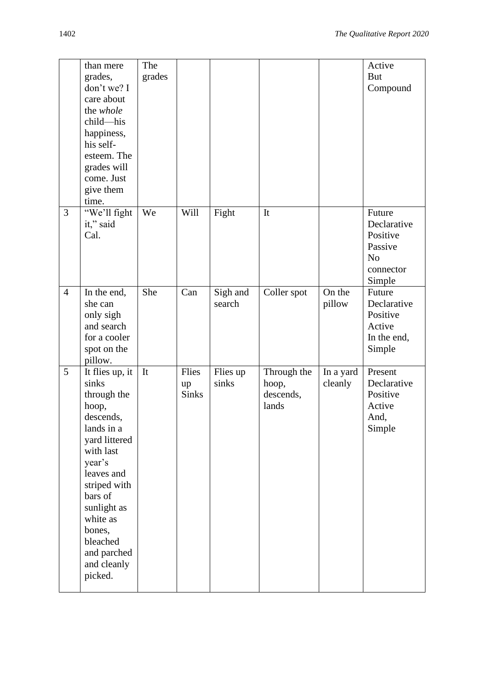|                | than mere<br>grades,<br>don't we? I<br>care about<br>the whole<br>child-his<br>happiness,<br>his self-<br>esteem. The<br>grades will<br>come. Just<br>give them<br>time.                                                                               | The<br>grades |                             |                    |                                            |                      | Active<br><b>But</b><br>Compound                                                      |
|----------------|--------------------------------------------------------------------------------------------------------------------------------------------------------------------------------------------------------------------------------------------------------|---------------|-----------------------------|--------------------|--------------------------------------------|----------------------|---------------------------------------------------------------------------------------|
| 3              | "We'll fight<br>it," said<br>Cal.                                                                                                                                                                                                                      | We            | Will                        | Fight              | It                                         |                      | Future<br>Declarative<br>Positive<br>Passive<br>N <sub>o</sub><br>connector<br>Simple |
| $\overline{4}$ | In the end,<br>she can<br>only sigh<br>and search<br>for a cooler<br>spot on the<br>pillow.                                                                                                                                                            | She           | Can                         | Sigh and<br>search | Coller spot                                | On the<br>pillow     | Future<br>Declarative<br>Positive<br>Active<br>In the end,<br>Simple                  |
| 5              | It flies up, it<br>sinks<br>through the<br>hoop,<br>descends,<br>lands in a<br>yard littered<br>with last<br>year's<br>leaves and<br>striped with<br>bars of<br>sunlight as<br>white as<br>bones,<br>bleached<br>and parched<br>and cleanly<br>picked. | It            | Flies<br>up<br><b>Sinks</b> | Flies up<br>sinks  | Through the<br>hoop,<br>descends,<br>lands | In a yard<br>cleanly | Present<br>Declarative<br>Positive<br>Active<br>And,<br>Simple                        |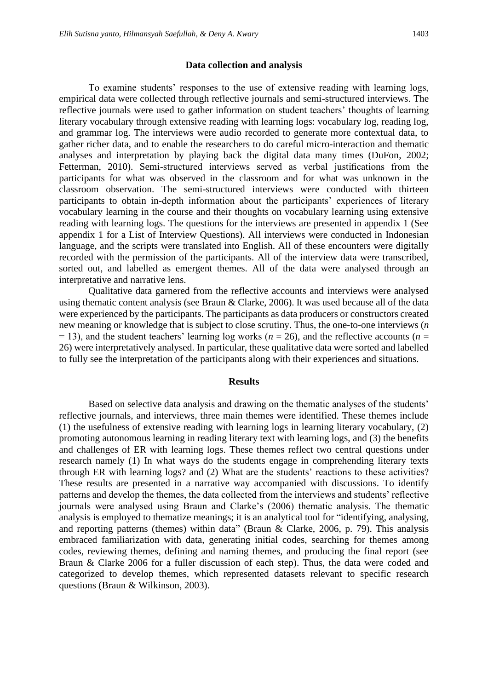To examine students' responses to the use of extensive reading with learning logs, empirical data were collected through reflective journals and semi-structured interviews. The reflective journals were used to gather information on student teachers' thoughts of learning literary vocabulary through extensive reading with learning logs: vocabulary log, reading log, and grammar log. The interviews were audio recorded to generate more contextual data, to gather richer data, and to enable the researchers to do careful micro-interaction and thematic analyses and interpretation by playing back the digital data many times (DuFon, 2002; Fetterman, 2010). Semi-structured interviews served as verbal justifications from the participants for what was observed in the classroom and for what was unknown in the classroom observation. The semi-structured interviews were conducted with thirteen participants to obtain in-depth information about the participants' experiences of literary vocabulary learning in the course and their thoughts on vocabulary learning using extensive reading with learning logs. The questions for the interviews are presented in appendix 1 (See appendix 1 for a List of Interview Questions). All interviews were conducted in Indonesian language, and the scripts were translated into English. All of these encounters were digitally recorded with the permission of the participants. All of the interview data were transcribed, sorted out, and labelled as emergent themes. All of the data were analysed through an interpretative and narrative lens.

Qualitative data garnered from the reflective accounts and interviews were analysed using thematic content analysis (see Braun & Clarke, 2006). It was used because all of the data were experienced by the participants. The participants as data producers or constructors created new meaning or knowledge that is subject to close scrutiny. Thus, the one-to-one interviews (*n*   $=$  13), and the student teachers' learning log works ( $n = 26$ ), and the reflective accounts ( $n =$ 26) were interpretatively analysed. In particular, these qualitative data were sorted and labelled to fully see the interpretation of the participants along with their experiences and situations.

### **Results**

Based on selective data analysis and drawing on the thematic analyses of the students' reflective journals, and interviews, three main themes were identified. These themes include (1) the usefulness of extensive reading with learning logs in learning literary vocabulary, (2) promoting autonomous learning in reading literary text with learning logs, and (3) the benefits and challenges of ER with learning logs. These themes reflect two central questions under research namely (1) In what ways do the students engage in comprehending literary texts through ER with learning logs? and (2) What are the students' reactions to these activities? These results are presented in a narrative way accompanied with discussions. To identify patterns and develop the themes, the data collected from the interviews and students' reflective journals were analysed using Braun and Clarke's (2006) thematic analysis. The thematic analysis is employed to thematize meanings; it is an analytical tool for "identifying, analysing, and reporting patterns (themes) within data" (Braun & Clarke, 2006, p. 79). This analysis embraced familiarization with data, generating initial codes, searching for themes among codes, reviewing themes, defining and naming themes, and producing the final report (see Braun & Clarke 2006 for a fuller discussion of each step). Thus, the data were coded and categorized to develop themes, which represented datasets relevant to specific research questions (Braun & Wilkinson, 2003).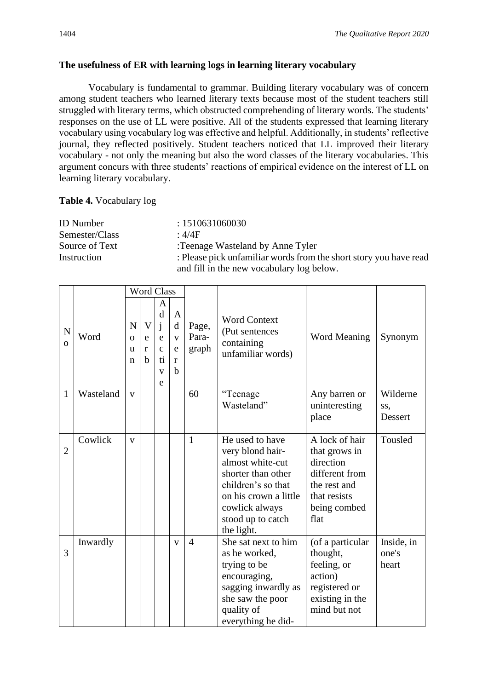# **The usefulness of ER with learning logs in learning literary vocabulary**

Vocabulary is fundamental to grammar. Building literary vocabulary was of concern among student teachers who learned literary texts because most of the student teachers still struggled with literary terms, which obstructed comprehending of literary words. The students' responses on the use of LL were positive. All of the students expressed that learning literary vocabulary using vocabulary log was effective and helpful. Additionally, in students' reflective journal, they reflected positively. Student teachers noticed that LL improved their literary vocabulary - not only the meaning but also the word classes of the literary vocabularies. This argument concurs with three students' reactions of empirical evidence on the interest of LL on learning literary vocabulary.

## **Table 4.** Vocabulary log

| <b>ID</b> Number | : 1510631060030                                                   |
|------------------|-------------------------------------------------------------------|
| Semester/Class   | $\cdot$ 4/4F                                                      |
| Source of Text   | :Teenage Wasteland by Anne Tyler                                  |
| Instruction      | : Please pick unfamiliar words from the short story you have read |
|                  | and fill in the new vocabulary log below.                         |

|                |           | <b>Word Class</b>       |                                        |                                                              |                                                  |                         |                                                                                                                                                                                   |                                                                                                                        |                              |
|----------------|-----------|-------------------------|----------------------------------------|--------------------------------------------------------------|--------------------------------------------------|-------------------------|-----------------------------------------------------------------------------------------------------------------------------------------------------------------------------------|------------------------------------------------------------------------------------------------------------------------|------------------------------|
| N<br>$\Omega$  | Word      | N<br>$\Omega$<br>u<br>n | $\overline{\mathsf{V}}$<br>e<br>r<br>b | A<br>d<br>j<br>e<br>$\mathbf{C}$<br>ti.<br>$\mathbf{V}$<br>e | $\mathbf{A}$<br>d<br>$\mathbf{V}$<br>e<br>r<br>h | Page,<br>Para-<br>graph | <b>Word Context</b><br>(Put sentences<br>containing<br>unfamiliar words)                                                                                                          | <b>Word Meaning</b>                                                                                                    | Synonym                      |
| 1              | Wasteland | $\mathbf{V}$            |                                        |                                                              |                                                  | 60                      | "Teenage                                                                                                                                                                          | Any barren or                                                                                                          | Wilderne                     |
|                |           |                         |                                        |                                                              |                                                  |                         | Wasteland"                                                                                                                                                                        | uninteresting<br>place                                                                                                 | SS,<br><b>Dessert</b>        |
| $\overline{2}$ | Cowlick   | V                       |                                        |                                                              |                                                  | 1                       | He used to have<br>very blond hair-<br>almost white-cut<br>shorter than other<br>children's so that<br>on his crown a little<br>cowlick always<br>stood up to catch<br>the light. | A lock of hair<br>that grows in<br>direction<br>different from<br>the rest and<br>that resists<br>being combed<br>flat | Tousled                      |
| 3              | Inwardly  |                         |                                        |                                                              | $\mathbf{V}$                                     | $\overline{4}$          | She sat next to him<br>as he worked,<br>trying to be<br>encouraging,<br>sagging inwardly as<br>she saw the poor<br>quality of<br>everything he did-                               | (of a particular<br>thought,<br>feeling, or<br>action)<br>registered or<br>existing in the<br>mind but not             | Inside, in<br>one's<br>heart |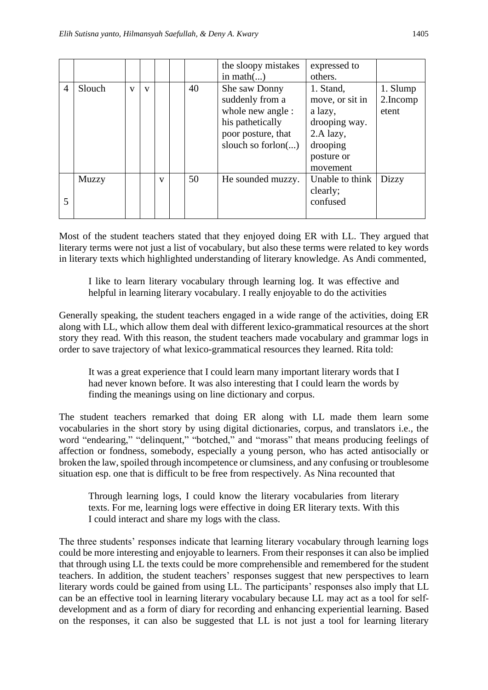|                |        |              |              |              |    | the sloopy mistakes   | expressed to    |              |
|----------------|--------|--------------|--------------|--------------|----|-----------------------|-----------------|--------------|
|                |        |              |              |              |    | in math $()$          | others.         |              |
| $\overline{4}$ | Slouch | $\mathbf{V}$ | $\mathbf{V}$ |              | 40 | She saw Donny         | 1. Stand,       | 1. Slump     |
|                |        |              |              |              |    | suddenly from a       | move, or sit in | 2.Incomp     |
|                |        |              |              |              |    | whole new angle :     | a lazy,         | etent        |
|                |        |              |              |              |    | his pathetically      | drooping way.   |              |
|                |        |              |              |              |    | poor posture, that    | 2.A lazy,       |              |
|                |        |              |              |              |    | slouch so forlon $()$ | drooping        |              |
|                |        |              |              |              |    |                       | posture or      |              |
|                |        |              |              |              |    |                       | movement        |              |
|                | Muzzy  |              |              | $\mathbf{V}$ | 50 | He sounded muzzy.     | Unable to think | <b>Dizzy</b> |
|                |        |              |              |              |    |                       | clearly;        |              |
| 5              |        |              |              |              |    |                       | confused        |              |
|                |        |              |              |              |    |                       |                 |              |

Most of the student teachers stated that they enjoyed doing ER with LL. They argued that literary terms were not just a list of vocabulary, but also these terms were related to key words in literary texts which highlighted understanding of literary knowledge. As Andi commented,

I like to learn literary vocabulary through learning log. It was effective and helpful in learning literary vocabulary. I really enjoyable to do the activities

Generally speaking, the student teachers engaged in a wide range of the activities, doing ER along with LL, which allow them deal with different lexico-grammatical resources at the short story they read. With this reason, the student teachers made vocabulary and grammar logs in order to save trajectory of what lexico-grammatical resources they learned. Rita told:

It was a great experience that I could learn many important literary words that I had never known before. It was also interesting that I could learn the words by finding the meanings using on line dictionary and corpus.

The student teachers remarked that doing ER along with LL made them learn some vocabularies in the short story by using digital dictionaries, corpus, and translators i.e., the word "endearing," "delinquent," "botched," and "morass" that means producing feelings of affection or fondness, somebody, especially a young person, who has acted antisocially or broken the law, spoiled through incompetence or clumsiness, and any confusing or troublesome situation esp. one that is difficult to be free from respectively. As Nina recounted that

Through learning logs, I could know the literary vocabularies from literary texts. For me, learning logs were effective in doing ER literary texts. With this I could interact and share my logs with the class.

The three students' responses indicate that learning literary vocabulary through learning logs could be more interesting and enjoyable to learners. From their responses it can also be implied that through using LL the texts could be more comprehensible and remembered for the student teachers. In addition, the student teachers' responses suggest that new perspectives to learn literary words could be gained from using LL. The participants' responses also imply that LL can be an effective tool in learning literary vocabulary because LL may act as a tool for selfdevelopment and as a form of diary for recording and enhancing experiential learning. Based on the responses, it can also be suggested that LL is not just a tool for learning literary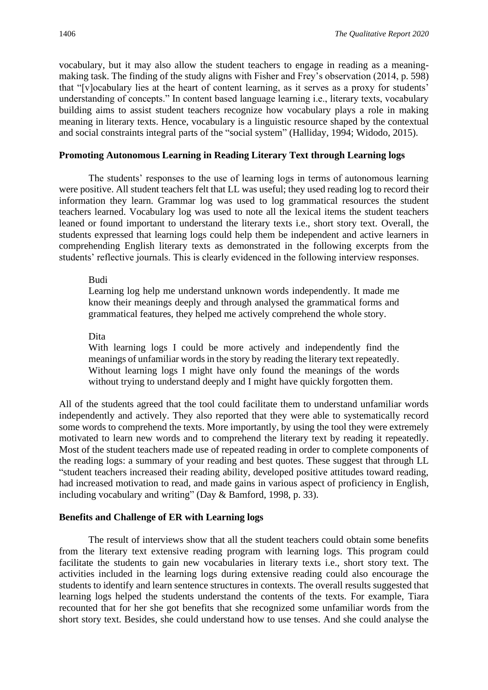vocabulary, but it may also allow the student teachers to engage in reading as a meaningmaking task. The finding of the study aligns with Fisher and Frey's observation (2014, p. 598) that "[v]ocabulary lies at the heart of content learning, as it serves as a proxy for students' understanding of concepts." In content based language learning i.e., literary texts, vocabulary building aims to assist student teachers recognize how vocabulary plays a role in making meaning in literary texts. Hence, vocabulary is a linguistic resource shaped by the contextual and social constraints integral parts of the "social system" (Halliday, 1994; Widodo, 2015).

### **Promoting Autonomous Learning in Reading Literary Text through Learning logs**

The students' responses to the use of learning logs in terms of autonomous learning were positive. All student teachers felt that LL was useful; they used reading log to record their information they learn. Grammar log was used to log grammatical resources the student teachers learned. Vocabulary log was used to note all the lexical items the student teachers leaned or found important to understand the literary texts i.e., short story text. Overall, the students expressed that learning logs could help them be independent and active learners in comprehending English literary texts as demonstrated in the following excerpts from the students' reflective journals. This is clearly evidenced in the following interview responses.

### Budi

Learning log help me understand unknown words independently. It made me know their meanings deeply and through analysed the grammatical forms and grammatical features, they helped me actively comprehend the whole story.

Dita

With learning logs I could be more actively and independently find the meanings of unfamiliar words in the story by reading the literary text repeatedly. Without learning logs I might have only found the meanings of the words without trying to understand deeply and I might have quickly forgotten them.

All of the students agreed that the tool could facilitate them to understand unfamiliar words independently and actively. They also reported that they were able to systematically record some words to comprehend the texts. More importantly, by using the tool they were extremely motivated to learn new words and to comprehend the literary text by reading it repeatedly. Most of the student teachers made use of repeated reading in order to complete components of the reading logs: a summary of your reading and best quotes. These suggest that through LL "student teachers increased their reading ability, developed positive attitudes toward reading, had increased motivation to read, and made gains in various aspect of proficiency in English, including vocabulary and writing" (Day & Bamford, 1998, p. 33).

# **Benefits and Challenge of ER with Learning logs**

The result of interviews show that all the student teachers could obtain some benefits from the literary text extensive reading program with learning logs. This program could facilitate the students to gain new vocabularies in literary texts i.e., short story text. The activities included in the learning logs during extensive reading could also encourage the students to identify and learn sentence structures in contexts. The overall results suggested that learning logs helped the students understand the contents of the texts. For example, Tiara recounted that for her she got benefits that she recognized some unfamiliar words from the short story text. Besides, she could understand how to use tenses. And she could analyse the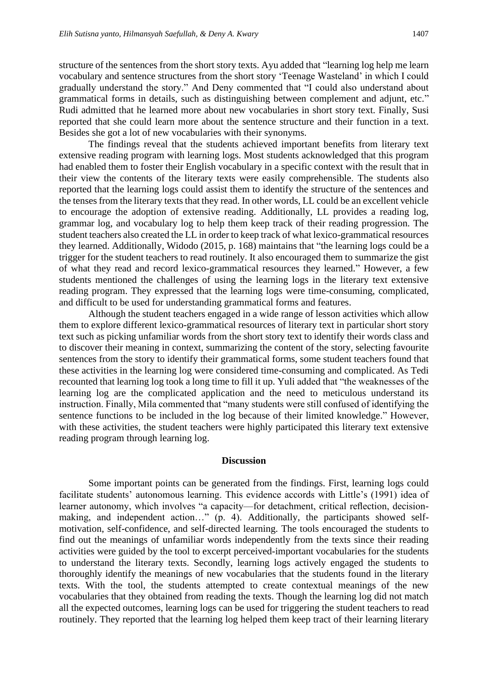structure of the sentences from the short story texts. Ayu added that "learning log help me learn vocabulary and sentence structures from the short story 'Teenage Wasteland' in which I could gradually understand the story." And Deny commented that "I could also understand about grammatical forms in details, such as distinguishing between complement and adjunt, etc." Rudi admitted that he learned more about new vocabularies in short story text. Finally, Susi reported that she could learn more about the sentence structure and their function in a text. Besides she got a lot of new vocabularies with their synonyms.

The findings reveal that the students achieved important benefits from literary text extensive reading program with learning logs. Most students acknowledged that this program had enabled them to foster their English vocabulary in a specific context with the result that in their view the contents of the literary texts were easily comprehensible. The students also reported that the learning logs could assist them to identify the structure of the sentences and the tenses from the literary texts that they read. In other words, LL could be an excellent vehicle to encourage the adoption of extensive reading. Additionally, LL provides a reading log, grammar log, and vocabulary log to help them keep track of their reading progression. The student teachers also created the LL in order to keep track of what lexico-grammatical resources they learned. Additionally, Widodo (2015, p. 168) maintains that "the learning logs could be a trigger for the student teachers to read routinely. It also encouraged them to summarize the gist of what they read and record lexico-grammatical resources they learned." However, a few students mentioned the challenges of using the learning logs in the literary text extensive reading program. They expressed that the learning logs were time-consuming, complicated, and difficult to be used for understanding grammatical forms and features.

Although the student teachers engaged in a wide range of lesson activities which allow them to explore different lexico-grammatical resources of literary text in particular short story text such as picking unfamiliar words from the short story text to identify their words class and to discover their meaning in context, summarizing the content of the story, selecting favourite sentences from the story to identify their grammatical forms, some student teachers found that these activities in the learning log were considered time-consuming and complicated. As Tedi recounted that learning log took a long time to fill it up. Yuli added that "the weaknesses of the learning log are the complicated application and the need to meticulous understand its instruction. Finally, Mila commented that "many students were still confused of identifying the sentence functions to be included in the log because of their limited knowledge." However, with these activities, the student teachers were highly participated this literary text extensive reading program through learning log.

### **Discussion**

Some important points can be generated from the findings. First, learning logs could facilitate students' autonomous learning. This evidence accords with Little's (1991) idea of learner autonomy, which involves "a capacity—for detachment, critical reflection, decisionmaking, and independent action…" (p. 4). Additionally, the participants showed selfmotivation, self-confidence, and self-directed learning. The tools encouraged the students to find out the meanings of unfamiliar words independently from the texts since their reading activities were guided by the tool to excerpt perceived-important vocabularies for the students to understand the literary texts. Secondly, learning logs actively engaged the students to thoroughly identify the meanings of new vocabularies that the students found in the literary texts. With the tool, the students attempted to create contextual meanings of the new vocabularies that they obtained from reading the texts. Though the learning log did not match all the expected outcomes, learning logs can be used for triggering the student teachers to read routinely. They reported that the learning log helped them keep tract of their learning literary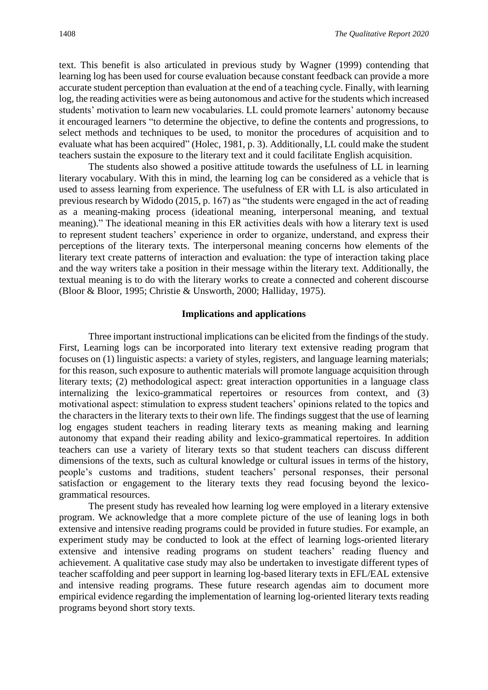text. This benefit is also articulated in previous study by Wagner (1999) contending that learning log has been used for course evaluation because constant feedback can provide a more accurate student perception than evaluation at the end of a teaching cycle. Finally, with learning log, the reading activities were as being autonomous and active for the students which increased students' motivation to learn new vocabularies. LL could promote learners' autonomy because it encouraged learners "to determine the objective, to define the contents and progressions, to select methods and techniques to be used, to monitor the procedures of acquisition and to evaluate what has been acquired" (Holec, 1981, p. 3). Additionally, LL could make the student teachers sustain the exposure to the literary text and it could facilitate English acquisition.

The students also showed a positive attitude towards the usefulness of LL in learning literary vocabulary. With this in mind, the learning log can be considered as a vehicle that is used to assess learning from experience. The usefulness of ER with LL is also articulated in previous research by Widodo (2015, p. 167) as "the students were engaged in the act of reading as a meaning-making process (ideational meaning, interpersonal meaning, and textual meaning)." The ideational meaning in this ER activities deals with how a literary text is used to represent student teachers' experience in order to organize, understand, and express their perceptions of the literary texts. The interpersonal meaning concerns how elements of the literary text create patterns of interaction and evaluation: the type of interaction taking place and the way writers take a position in their message within the literary text. Additionally, the textual meaning is to do with the literary works to create a connected and coherent discourse (Bloor & Bloor, 1995; Christie & Unsworth, 2000; Halliday, 1975).

### **Implications and applications**

Three important instructional implications can be elicited from the findings of the study. First, Learning logs can be incorporated into literary text extensive reading program that focuses on (1) linguistic aspects: a variety of styles, registers, and language learning materials; for this reason, such exposure to authentic materials will promote language acquisition through literary texts; (2) methodological aspect: great interaction opportunities in a language class internalizing the lexico-grammatical repertoires or resources from context, and (3) motivational aspect: stimulation to express student teachers' opinions related to the topics and the characters in the literary texts to their own life. The findings suggest that the use of learning log engages student teachers in reading literary texts as meaning making and learning autonomy that expand their reading ability and lexico-grammatical repertoires. In addition teachers can use a variety of literary texts so that student teachers can discuss different dimensions of the texts, such as cultural knowledge or cultural issues in terms of the history, people's customs and traditions, student teachers' personal responses, their personal satisfaction or engagement to the literary texts they read focusing beyond the lexicogrammatical resources.

The present study has revealed how learning log were employed in a literary extensive program. We acknowledge that a more complete picture of the use of leaning logs in both extensive and intensive reading programs could be provided in future studies. For example, an experiment study may be conducted to look at the effect of learning logs-oriented literary extensive and intensive reading programs on student teachers' reading fluency and achievement. A qualitative case study may also be undertaken to investigate different types of teacher scaffolding and peer support in learning log-based literary texts in EFL/EAL extensive and intensive reading programs. These future research agendas aim to document more empirical evidence regarding the implementation of learning log-oriented literary texts reading programs beyond short story texts.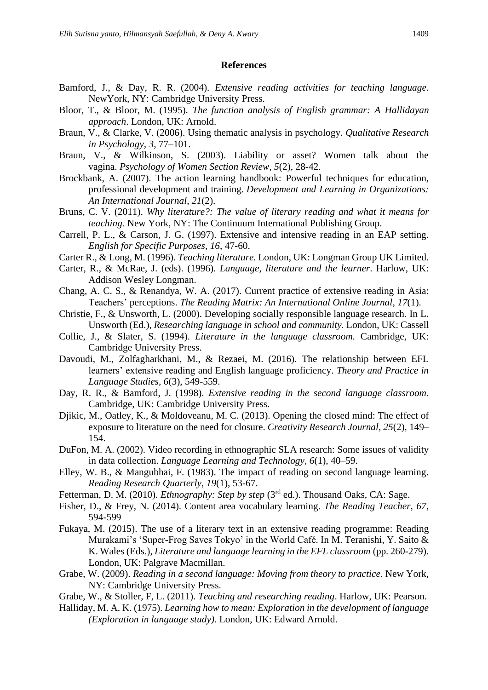### **References**

- Bamford, J., & Day, R. R. (2004). *Extensive reading activities for teaching language*. NewYork, NY: Cambridge University Press.
- Bloor, T., & Bloor, M. (1995). *The function analysis of English grammar: A Hallidayan approach*. London, UK: Arnold.
- Braun, V., & Clarke, V. (2006). Using thematic analysis in psychology. *Qualitative Research in Psychology*, *3*, 77–101.
- Braun, V., & Wilkinson, S. (2003). Liability or asset? Women talk about the vagina. *Psychology of Women Section Review*, *5*(2), 28-42.
- Brockbank, A. (2007). The action learning handbook: Powerful techniques for education, professional development and training. *Development and Learning in Organizations: An International Journal*, *21*(2).
- Bruns, C. V. (2011). *Why literature?: The value of literary reading and what it means for teaching.* New York, NY: The Continuum International Publishing Group.
- Carrell, P. L., & Carson, J. G. (1997). Extensive and intensive reading in an EAP setting. *English for Specific Purposes, 16*, 47-60.
- Carter R., & Long, M. (1996). *Teaching literature.* London, UK: Longman Group UK Limited.
- Carter, R., & McRae, J. (eds). (1996). *Language, literature and the learner*. Harlow, UK: Addison Wesley Longman.
- Chang, A. C. S., & Renandya, W. A. (2017). Current practice of extensive reading in Asia: Teachers' perceptions. *The Reading Matrix: An International Online Journal*, *17*(1).
- Christie, F., & Unsworth, L. (2000). Developing socially responsible language research. In L. Unsworth (Ed.), *Researching language in school and community.* London, UK: Cassell
- Collie, J., & Slater, S. (1994). *Literature in the language classroom.* Cambridge, UK: Cambridge University Press.
- Davoudi, M., Zolfagharkhani, M., & Rezaei, M. (2016). The relationship between EFL learners' extensive reading and English language proficiency. *Theory and Practice in Language Studies, 6*(3), 549-559.
- Day, R. R., & Bamford, J. (1998). *Extensive reading in the second language classroom*. Cambridge, UK: Cambridge University Press.
- Djikic, M., Oatley, K., & Moldoveanu, M. C. (2013). Opening the closed mind: The effect of exposure to literature on the need for closure. *Creativity Research Journal, 25*(2), 149– 154.
- DuFon, M. A. (2002). Video recording in ethnographic SLA research: Some issues of validity in data collection. *Language Learning and Technology, 6*(1), 40–59.
- Elley, W. B., & Mangubhai, F. (1983). The impact of reading on second language learning. *Reading Research Quarterly*, *19*(1), 53-67.
- Fetterman, D. M. (2010). *Ethnography: Step by step* (3<sup>rd</sup> ed.). Thousand Oaks, CA: Sage.
- Fisher, D., & Frey, N. (2014). Content area vocabulary learning. *The Reading Teacher, 67*, 594-599
- Fukaya, M. (2015). The use of a literary text in an extensive reading programme: Reading Murakami's 'Super-Frog Saves Tokyo' in the World Café. In M. Teranishi, Y. Saito & K. Wales (Eds.), *Literature and language learning in the EFL classroom* (pp. 260-279). London, UK: Palgrave Macmillan.
- Grabe, W. (2009). *Reading in a second language: Moving from theory to practice*. New York, NY: Cambridge University Press.
- Grabe, W., & Stoller, F, L. (2011). *Teaching and researching reading*. Harlow, UK: Pearson.
- Halliday, M. A. K. (1975). *Learning how to mean: Exploration in the development of language (Exploration in language study).* London, UK: Edward Arnold.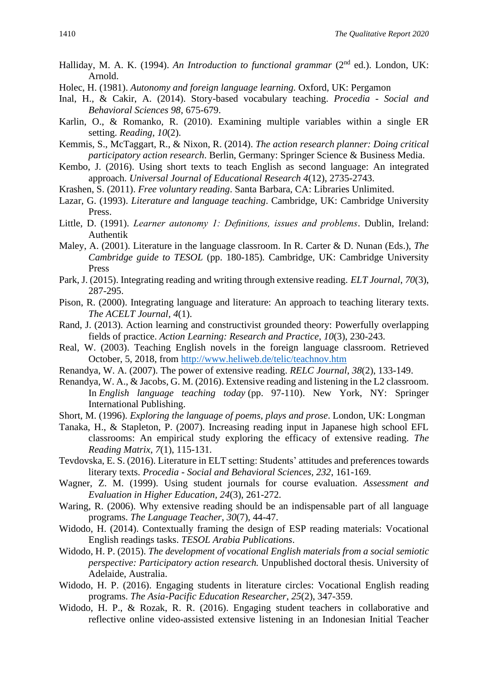- Halliday, M. A. K. (1994). An Introduction to functional grammar (2<sup>nd</sup> ed.). London, UK: Arnold.
- Holec, H. (1981). *Autonomy and foreign language learning.* Oxford, UK: Pergamon
- Inal, H., & Cakir, A. (2014). Story-based vocabulary teaching. *Procedia - Social and Behavioral Sciences 98*, 675-679.
- Karlin, O., & Romanko, R. (2010). Examining multiple variables within a single ER setting. *Reading*, *10*(2).
- Kemmis, S., McTaggart, R., & Nixon, R. (2014). *The action research planner: Doing critical participatory action research*. Berlin, Germany: Springer Science & Business Media.
- Kembo, J. (2016). Using short texts to teach English as second language: An integrated approach. *Universal Journal of Educational Research 4*(12), 2735-2743.
- Krashen, S. (2011). *Free voluntary reading*. Santa Barbara, CA: Libraries Unlimited.
- Lazar, G. (1993). *Literature and language teaching*. Cambridge, UK: Cambridge University Press.
- Little, D. (1991). *Learner autonomy 1: Definitions, issues and problems*. Dublin, Ireland: Authentik
- Maley, A. (2001). Literature in the language classroom. In R. Carter & D. Nunan (Eds.), *The Cambridge guide to TESOL* (pp. 180-185)*.* Cambridge, UK: Cambridge University Press
- Park, J. (2015). Integrating reading and writing through extensive reading. *ELT Journal*, *70*(3), 287-295.
- Pison, R. (2000). Integrating language and literature: An approach to teaching literary texts. *The ACELT Journal, 4*(1).
- Rand, J. (2013). Action learning and constructivist grounded theory: Powerfully overlapping fields of practice. *Action Learning: Research and Practice*, *10*(3), 230-243.
- Real, W. (2003). Teaching English novels in the foreign language classroom. Retrieved October, 5, 2018, from <http://www.heliweb.de/telic/teachnov.htm>
- Renandya, W. A. (2007). The power of extensive reading. *RELC Journal*, *38*(2), 133-149.
- Renandya, W. A., & Jacobs, G. M. (2016). Extensive reading and listening in the L2 classroom. In *English language teaching today* (pp. 97-110). New York, NY: Springer International Publishing.
- Short, M. (1996). *Exploring the language of poems, plays and prose*. London, UK: Longman
- Tanaka, H., & Stapleton, P. (2007). Increasing reading input in Japanese high school EFL classrooms: An empirical study exploring the efficacy of extensive reading. *The Reading Matrix*, *7*(1), 115-131.
- Tevdovska, E. S. (2016). Literature in ELT setting: Students' attitudes and preferences towards literary texts. *Procedia - Social and Behavioral Sciences, 232*, 161-169.
- Wagner, Z. M. (1999). Using student journals for course evaluation. *Assessment and Evaluation in Higher Education, 24*(3), 261-272.
- Waring, R. (2006). Why extensive reading should be an indispensable part of all language programs. *The Language Teacher*, *30*(7), 44-47.
- Widodo, H. (2014). Contextually framing the design of ESP reading materials: Vocational English readings tasks. *TESOL Arabia Publications*.
- Widodo, H. P. (2015). *The development of vocational English materials from a social semiotic perspective: Participatory action research.* Unpublished doctoral thesis. University of Adelaide, Australia.
- Widodo, H. P. (2016). Engaging students in literature circles: Vocational English reading programs. *The Asia-Pacific Education Researcher*, *25*(2), 347-359.
- Widodo, H. P., & Rozak, R. R. (2016). Engaging student teachers in collaborative and reflective online video-assisted extensive listening in an Indonesian Initial Teacher